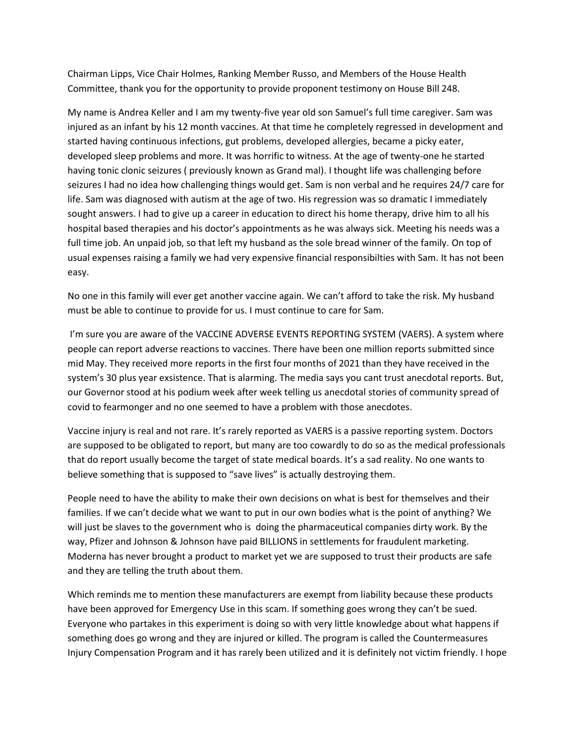Chairman Lipps, Vice Chair Holmes, Ranking Member Russo, and Members of the House Health Committee, thank you for the opportunity to provide proponent testimony on House Bill 248.

My name is Andrea Keller and I am my twenty-five year old son Samuel's full time caregiver. Sam was injured as an infant by his 12 month vaccines. At that time he completely regressed in development and started having continuous infections, gut problems, developed allergies, became a picky eater, developed sleep problems and more. It was horrific to witness. At the age of twenty-one he started having tonic clonic seizures ( previously known as Grand mal). I thought life was challenging before seizures I had no idea how challenging things would get. Sam is non verbal and he requires 24/7 care for life. Sam was diagnosed with autism at the age of two. His regression was so dramatic I immediately sought answers. I had to give up a career in education to direct his home therapy, drive him to all his hospital based therapies and his doctor's appointments as he was always sick. Meeting his needs was a full time job. An unpaid job, so that left my husband as the sole bread winner of the family. On top of usual expenses raising a family we had very expensive financial responsibilties with Sam. It has not been easy.

No one in this family will ever get another vaccine again. We can't afford to take the risk. My husband must be able to continue to provide for us. I must continue to care for Sam.

I'm sure you are aware of the VACCINE ADVERSE EVENTS REPORTING SYSTEM (VAERS). A system where people can report adverse reactions to vaccines. There have been one million reports submitted since mid May. They received more reports in the first four months of 2021 than they have received in the system's 30 plus year exsistence. That is alarming. The media says you cant trust anecdotal reports. But, our Governor stood at his podium week after week telling us anecdotal stories of community spread of covid to fearmonger and no one seemed to have a problem with those anecdotes.

Vaccine injury is real and not rare. It's rarely reported as VAERS is a passive reporting system. Doctors are supposed to be obligated to report, but many are too cowardly to do so as the medical professionals that do report usually become the target of state medical boards. It's a sad reality. No one wants to believe something that is supposed to "save lives" is actually destroying them.

People need to have the ability to make their own decisions on what is best for themselves and their families. If we can't decide what we want to put in our own bodies what is the point of anything? We will just be slaves to the government who is doing the pharmaceutical companies dirty work. By the way, Pfizer and Johnson & Johnson have paid BILLIONS in settlements for fraudulent marketing. Moderna has never brought a product to market yet we are supposed to trust their products are safe and they are telling the truth about them.

Which reminds me to mention these manufacturers are exempt from liability because these products have been approved for Emergency Use in this scam. If something goes wrong they can't be sued. Everyone who partakes in this experiment is doing so with very little knowledge about what happens if something does go wrong and they are injured or killed. The program is called the Countermeasures Injury Compensation Program and it has rarely been utilized and it is definitely not victim friendly. I hope